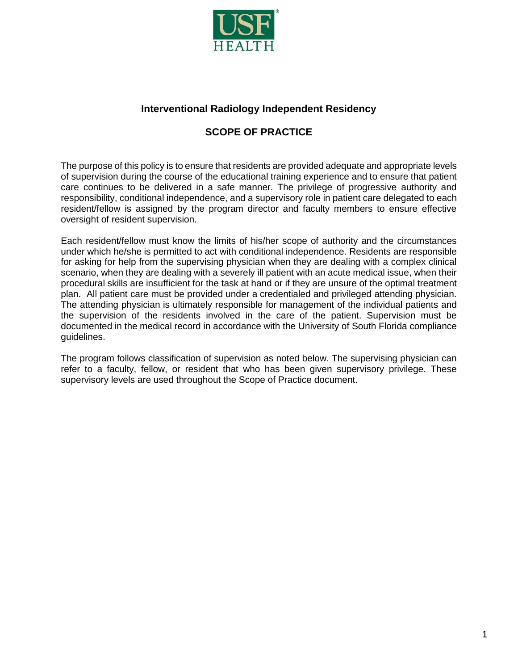

## **Interventional Radiology Independent Residency**

# **SCOPE OF PRACTICE**

The purpose of this policy is to ensure that residents are provided adequate and appropriate levels of supervision during the course of the educational training experience and to ensure that patient care continues to be delivered in a safe manner. The privilege of progressive authority and responsibility, conditional independence, and a supervisory role in patient care delegated to each resident/fellow is assigned by the program director and faculty members to ensure effective oversight of resident supervision.

Each resident/fellow must know the limits of his/her scope of authority and the circumstances under which he/she is permitted to act with conditional independence. Residents are responsible for asking for help from the supervising physician when they are dealing with a complex clinical scenario, when they are dealing with a severely ill patient with an acute medical issue, when their procedural skills are insufficient for the task at hand or if they are unsure of the optimal treatment plan. All patient care must be provided under a credentialed and privileged attending physician. The attending physician is ultimately responsible for management of the individual patients and the supervision of the residents involved in the care of the patient. Supervision must be documented in the medical record in accordance with the University of South Florida compliance guidelines.

The program follows classification of supervision as noted below. The supervising physician can refer to a faculty, fellow, or resident that who has been given supervisory privilege. These supervisory levels are used throughout the Scope of Practice document.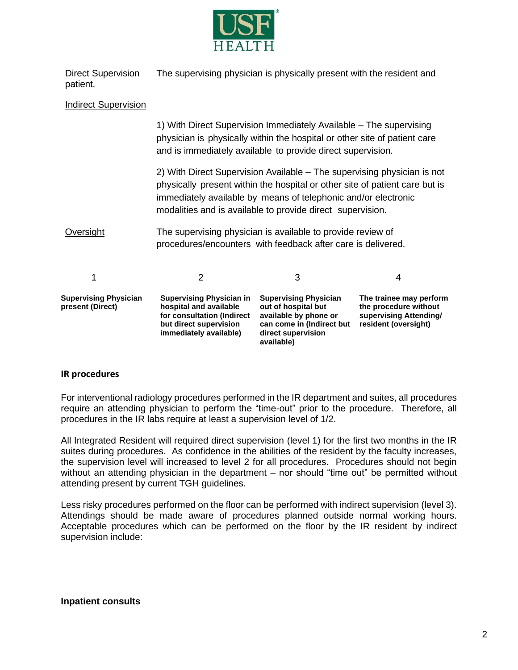

Direct Supervision The supervising physician is physically present with the resident and patient.

### Indirect Supervision

1) With Direct Supervision Immediately Available – The supervising physician is physically within the hospital or other site of patient care and is immediately available to provide direct supervision.

2) With Direct Supervision Available – The supervising physician is not physically present within the hospital or other site of patient care but is immediately available by means of telephonic and/or electronic modalities and is available to provide direct supervision.

Oversight The supervising physician is available to provide review of procedures/encounters with feedback after care is delivered.

| <b>Supervising Physician</b><br>present (Direct) | <b>Supervising Physician in</b><br>hospital and available<br>for consultation (Indirect<br>but direct supervision<br>immediately available) | <b>Supervising Physician</b><br>out of hospital but<br>available by phone or<br>can come in (Indirect but<br>direct supervision<br>available) | The trainee may perform<br>the procedure without<br>supervising Attending/<br>resident (oversight) |
|--------------------------------------------------|---------------------------------------------------------------------------------------------------------------------------------------------|-----------------------------------------------------------------------------------------------------------------------------------------------|----------------------------------------------------------------------------------------------------|

### **IR procedures**

For interventional radiology procedures performed in the IR department and suites, all procedures require an attending physician to perform the "time-out" prior to the procedure. Therefore, all procedures in the IR labs require at least a supervision level of 1/2.

All Integrated Resident will required direct supervision (level 1) for the first two months in the IR suites during procedures. As confidence in the abilities of the resident by the faculty increases, the supervision level will increased to level 2 for all procedures. Procedures should not begin without an attending physician in the department – nor should "time out" be permitted without attending present by current TGH guidelines.

Less risky procedures performed on the floor can be performed with indirect supervision (level 3). Attendings should be made aware of procedures planned outside normal working hours. Acceptable procedures which can be performed on the floor by the IR resident by indirect supervision include:

#### **Inpatient consults**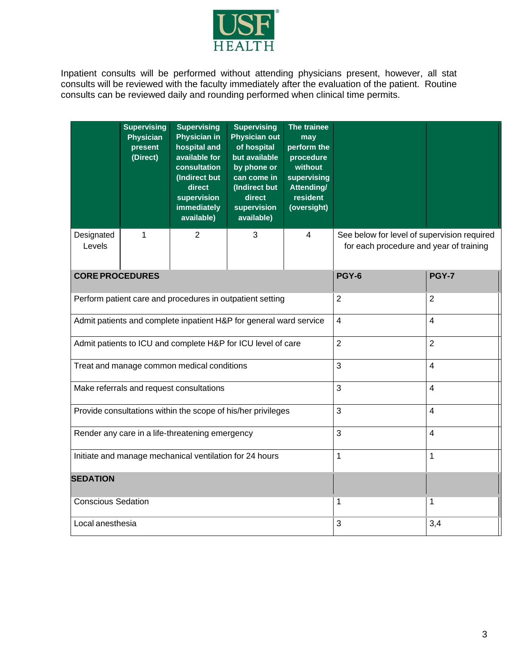

Inpatient consults will be performed without attending physicians present, however, all stat consults will be reviewed with the faculty immediately after the evaluation of the patient. Routine consults can be reviewed daily and rounding performed when clinical time permits.

|                                                                    | <b>Supervising</b><br><b>Physician</b><br>present<br>(Direct) | <b>Supervising</b><br><b>Physician in</b><br>hospital and<br>available for<br>consultation<br>(Indirect but<br>direct<br>supervision<br><b>immediately</b><br>available) | <b>Supervising</b><br><b>Physician out</b><br>of hospital<br>but available<br>by phone or<br>can come in<br>(Indirect but<br>direct<br>supervision<br>available) | The trainee<br>may<br>perform the<br>procedure<br>without<br>supervising<br>Attending/<br>resident<br>(oversight) |                                                                                        |              |  |
|--------------------------------------------------------------------|---------------------------------------------------------------|--------------------------------------------------------------------------------------------------------------------------------------------------------------------------|------------------------------------------------------------------------------------------------------------------------------------------------------------------|-------------------------------------------------------------------------------------------------------------------|----------------------------------------------------------------------------------------|--------------|--|
| Designated<br>Levels                                               | 1                                                             | 2                                                                                                                                                                        | 3                                                                                                                                                                | 4                                                                                                                 | See below for level of supervision required<br>for each procedure and year of training |              |  |
| <b>CORE PROCEDURES</b>                                             |                                                               |                                                                                                                                                                          |                                                                                                                                                                  |                                                                                                                   | <b>PGY-6</b>                                                                           | <b>PGY-7</b> |  |
| Perform patient care and procedures in outpatient setting          |                                                               |                                                                                                                                                                          |                                                                                                                                                                  | $\overline{2}$                                                                                                    | 2                                                                                      |              |  |
| Admit patients and complete inpatient H&P for general ward service |                                                               |                                                                                                                                                                          |                                                                                                                                                                  | $\overline{\mathbf{4}}$                                                                                           | 4                                                                                      |              |  |
| Admit patients to ICU and complete H&P for ICU level of care       |                                                               |                                                                                                                                                                          |                                                                                                                                                                  | $\overline{2}$                                                                                                    | $\overline{2}$                                                                         |              |  |
| Treat and manage common medical conditions                         |                                                               |                                                                                                                                                                          |                                                                                                                                                                  | 3                                                                                                                 | 4                                                                                      |              |  |
| Make referrals and request consultations                           |                                                               |                                                                                                                                                                          |                                                                                                                                                                  |                                                                                                                   | 3                                                                                      | 4            |  |
| Provide consultations within the scope of his/her privileges       |                                                               |                                                                                                                                                                          |                                                                                                                                                                  | 3                                                                                                                 | 4                                                                                      |              |  |
| Render any care in a life-threatening emergency                    |                                                               |                                                                                                                                                                          |                                                                                                                                                                  | 3                                                                                                                 | 4                                                                                      |              |  |
| Initiate and manage mechanical ventilation for 24 hours            |                                                               |                                                                                                                                                                          |                                                                                                                                                                  | $\mathbf{1}$                                                                                                      | 1                                                                                      |              |  |
| <b>SEDATION</b>                                                    |                                                               |                                                                                                                                                                          |                                                                                                                                                                  |                                                                                                                   |                                                                                        |              |  |
| <b>Conscious Sedation</b>                                          |                                                               |                                                                                                                                                                          |                                                                                                                                                                  | 1                                                                                                                 | 1                                                                                      |              |  |
| Local anesthesia                                                   |                                                               |                                                                                                                                                                          |                                                                                                                                                                  | 3                                                                                                                 | 3,4                                                                                    |              |  |